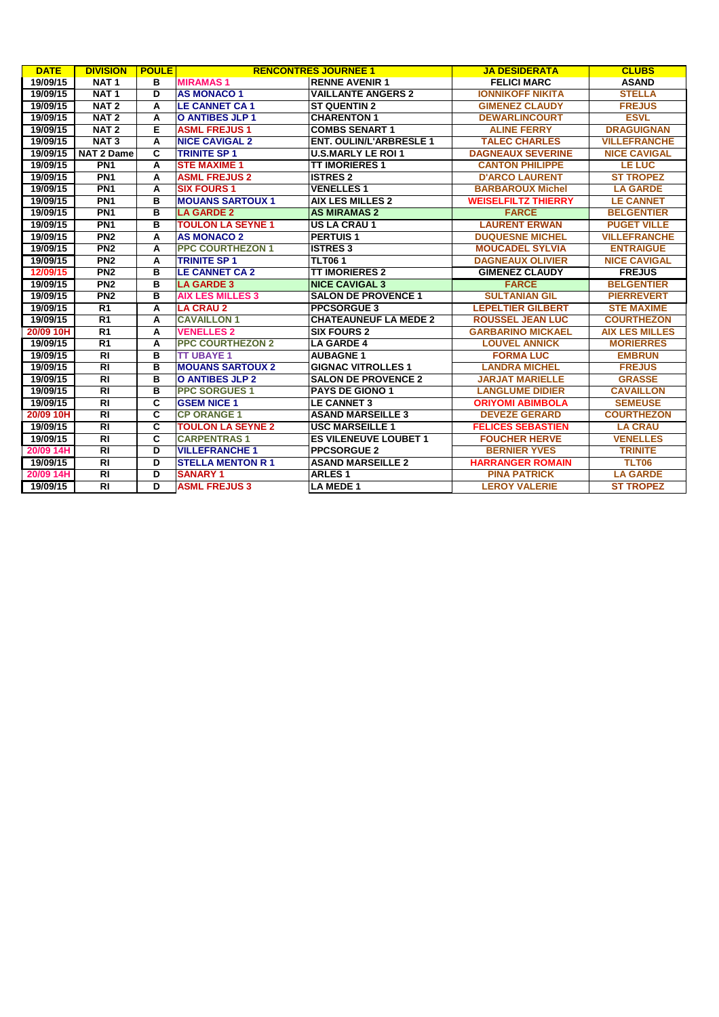| <b>DATE</b> | <b>DIVISION</b>   | <b>POULE</b> |                          | <b>RENCONTRES JOURNEE 1</b>    | <b>JA DESIDERATA</b>       | <b>CLUBS</b>          |
|-------------|-------------------|--------------|--------------------------|--------------------------------|----------------------------|-----------------------|
| 19/09/15    | NAT <sub>1</sub>  | в            | <b>MIRAMAS1</b>          | <b>RENNE AVENIR 1</b>          | <b>FELICI MARC</b>         | <b>ASAND</b>          |
| 19/09/15    | NAT <sub>1</sub>  | D            | <b>AS MONACO 1</b>       | <b>VAILLANTE ANGERS 2</b>      | <b>IONNIKOFF NIKITA</b>    | <b>STELLA</b>         |
| 19/09/15    | NAT <sub>2</sub>  | A            | <b>LE CANNET CA1</b>     | <b>ST QUENTIN 2</b>            | <b>GIMENEZ CLAUDY</b>      | <b>FREJUS</b>         |
| 19/09/15    | NAT <sub>2</sub>  | A            | <b>O ANTIBES JLP 1</b>   | <b>CHARENTON 1</b>             | <b>DEWARLINCOURT</b>       | <b>ESVL</b>           |
| 19/09/15    | NAT <sub>2</sub>  | Е            | <b>ASML FREJUS1</b>      | <b>COMBS SENART 1</b>          | <b>ALINE FERRY</b>         | <b>DRAGUIGNAN</b>     |
| 19/09/15    | NAT <sub>3</sub>  | A            | <b>NICE CAVIGAL 2</b>    | <b>ENT. OULIN/L'ARBRESLE 1</b> | <b>TALEC CHARLES</b>       | <b>VILLEFRANCHE</b>   |
| 19/09/15    | <b>NAT 2 Dame</b> | C            | <b>TRINITE SP 1</b>      | <b>U.S.MARLY LE ROI 1</b>      | <b>DAGNEAUX SEVERINE</b>   | <b>NICE CAVIGAL</b>   |
| 19/09/15    | PN <sub>1</sub>   | A            | <b>STE MAXIME 1</b>      | <b>TT IMORIERES 1</b>          | <b>CANTON PHILIPPE</b>     | <b>LE LUC</b>         |
| 19/09/15    | PN <sub>1</sub>   | A            | <b>ASML FREJUS 2</b>     | <b>ISTRES 2</b>                | <b>D'ARCO LAURENT</b>      | <b>ST TROPEZ</b>      |
| 19/09/15    | PN <sub>1</sub>   | A            | <b>SIX FOURS 1</b>       | <b>VENELLES 1</b>              | <b>BARBAROUX Michel</b>    | <b>LA GARDE</b>       |
| 19/09/15    | PN <sub>1</sub>   | в            | <b>MOUANS SARTOUX 1</b>  | <b>AIX LES MILLES 2</b>        | <b>WEISELFILTZ THIERRY</b> | <b>LE CANNET</b>      |
| 19/09/15    | PN <sub>1</sub>   | в            | <b>LA GARDE 2</b>        | <b>AS MIRAMAS 2</b>            | <b>FARCE</b>               | <b>BELGENTIER</b>     |
| 19/09/15    | PN <sub>1</sub>   | в            | <b>TOULON LA SEYNE 1</b> | <b>US LA CRAU 1</b>            | <b>LAURENT ERWAN</b>       | <b>PUGET VILLE</b>    |
| 19/09/15    | PN2               | A            | <b>AS MONACO 2</b>       | <b>PERTUIS1</b>                | <b>DUQUESNE MICHEL</b>     | <b>VILLEFRANCHE</b>   |
| 19/09/15    | PN <sub>2</sub>   | Α            | <b>PPC COURTHEZON 1</b>  | <b>ISTRES 3</b>                | <b>MOUCADEL SYLVIA</b>     | <b>ENTRAIGUE</b>      |
| 19/09/15    | PN2               | A            | <b>TRINITE SP 1</b>      | <b>TLT061</b>                  | <b>DAGNEAUX OLIVIER</b>    | <b>NICE CAVIGAL</b>   |
| 12/09/15    | PN <sub>2</sub>   | в            | <b>LE CANNET CA 2</b>    | <b>TT IMORIERES 2</b>          | <b>GIMENEZ CLAUDY</b>      | <b>FREJUS</b>         |
| 19/09/15    | PN <sub>2</sub>   | в            | <b>LA GARDE 3</b>        | <b>NICE CAVIGAL 3</b>          | <b>FARCE</b>               | <b>BELGENTIER</b>     |
| 19/09/15    | PN2               | в            | <b>AIX LES MILLES 3</b>  | <b>SALON DE PROVENCE 1</b>     | <b>SULTANIAN GIL</b>       | <b>PIERREVERT</b>     |
| 19/09/15    | $\overline{R1}$   | A            | <b>LA CRAU 2</b>         | <b>PPCSORGUE 3</b>             | <b>LEPELTIER GILBERT</b>   | <b>STE MAXIME</b>     |
| 19/09/15    | $\overline{R1}$   | A            | <b>CAVAILLON 1</b>       | <b>CHATEAUNEUF LA MEDE 2</b>   | <b>ROUSSEL JEAN LUC</b>    | <b>COURTHEZON</b>     |
| 20/09 10H   | $\overline{R1}$   | A            | <b>VENELLES 2</b>        | <b>SIX FOURS 2</b>             | <b>GARBARINO MICKAEL</b>   | <b>AIX LES MILLES</b> |
| 19/09/15    | R <sub>1</sub>    | A            | <b>PPC COURTHEZON 2</b>  | <b>LA GARDE 4</b>              | <b>LOUVEL ANNICK</b>       | <b>MORIERRES</b>      |
| 19/09/15    | $\overline{R}$    | в            | <b>TT UBAYE 1</b>        | <b>AUBAGNE 1</b>               | <b>FORMA LUC</b>           | <b>EMBRUN</b>         |
| 19/09/15    | $\overline{R}$    | в            | <b>MOUANS SARTOUX 2</b>  | <b>GIGNAC VITROLLES 1</b>      | <b>LANDRA MICHEL</b>       | <b>FREJUS</b>         |
| 19/09/15    | $\overline{R}$    | в            | <b>O ANTIBES JLP 2</b>   | <b>SALON DE PROVENCE 2</b>     | <b>JARJAT MARIELLE</b>     | <b>GRASSE</b>         |
| 19/09/15    | $\overline{RI}$   | в            | <b>PPC SORGUES 1</b>     | <b>PAYS DE GIONO 1</b>         | <b>LANGLUME DIDIER</b>     | <b>CAVAILLON</b>      |
| 19/09/15    | $\overline{R}$    | C            | <b>GSEM NICE 1</b>       | <b>LE CANNET 3</b>             | <b>ORIYOMI ABIMBOLA</b>    | <b>SEMEUSE</b>        |
| 20/09 10H   | $\overline{R}$    | C            | <b>CP ORANGE 1</b>       | <b>ASAND MARSEILLE 3</b>       | <b>DEVEZE GERARD</b>       | <b>COURTHEZON</b>     |
| 19/09/15    | $\overline{R}$    | C            | <b>TOULON LA SEYNE 2</b> | <b>USC MARSEILLE 1</b>         | <b>FELICES SEBASTIEN</b>   | <b>LA CRAU</b>        |
| 19/09/15    | RI                | c            | <b>CARPENTRAS1</b>       | <b>ES VILENEUVE LOUBET 1</b>   | <b>FOUCHER HERVE</b>       | <b>VENELLES</b>       |
| 20/09 14H   | <b>RI</b>         | D            | <b>VILLEFRANCHE 1</b>    | <b>PPCSORGUE 2</b>             | <b>BERNIER YVES</b>        | <b>TRINITE</b>        |
| 19/09/15    | $\overline{R}$    | D            | <b>STELLA MENTON R 1</b> | <b>ASAND MARSEILLE 2</b>       | <b>HARRANGER ROMAIN</b>    | TLT06                 |
| 20/09 14H   | $\overline{R}$    | D            | <b>SANARY 1</b>          | <b>ARLES1</b>                  | <b>PINA PATRICK</b>        | <b>LA GARDE</b>       |
| 19/09/15    | $\overline{RI}$   | Б            | <b>ASML FREJUS 3</b>     | <b>LA MEDE 1</b>               | <b>LEROY VALERIE</b>       | <b>ST TROPEZ</b>      |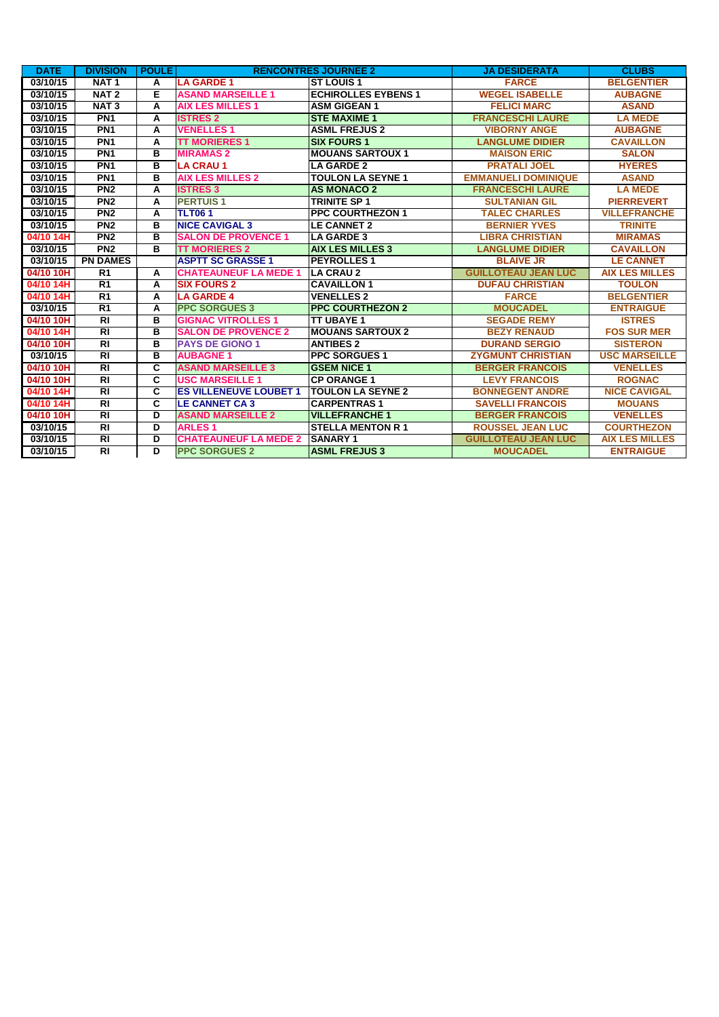| <b>DATE</b> | <b>DIVISION</b>  | <b>POULE</b>            |                               | <b>RENCONTRES JOURNEE 2</b> | <b>JA DESIDERATA</b>       | <b>CLUBS</b>          |
|-------------|------------------|-------------------------|-------------------------------|-----------------------------|----------------------------|-----------------------|
| 03/10/15    | NAT <sub>1</sub> | А                       | <b>LA GARDE 1</b>             | <b>ST LOUIS 1</b>           | <b>FARCE</b>               | <b>BELGENTIER</b>     |
| 03/10/15    | NAT <sub>2</sub> | Е                       | <b>ASAND MARSEILLE 1</b>      | <b>ECHIROLLES EYBENS 1</b>  | <b>WEGEL ISABELLE</b>      | <b>AUBAGNE</b>        |
| 03/10/15    | NAT <sub>3</sub> | А                       | <b>AIX LES MILLES 1</b>       | <b>ASM GIGEAN 1</b>         | <b>FELICI MARC</b>         | <b>ASAND</b>          |
| 03/10/15    | PN <sub>1</sub>  | А                       | <b>ISTRES 2</b>               | <b>ISTE MAXIME 1</b>        | <b>FRANCESCHI LAURE</b>    | <b>LA MEDE</b>        |
| 03/10/15    | PN <sub>1</sub>  | А                       | <b>VENELLES 1</b>             | <b>ASML FREJUS 2</b>        | <b>VIBORNY ANGE</b>        | <b>AUBAGNE</b>        |
| 03/10/15    | PN <sub>1</sub>  | A                       | <b>TT MORIERES 1</b>          | <b>SIX FOURS 1</b>          | <b>LANGLUME DIDIER</b>     | <b>CAVAILLON</b>      |
| 03/10/15    | PN <sub>1</sub>  | в                       | <b>MIRAMAS 2</b>              | <b>MOUANS SARTOUX 1</b>     | <b>MAISON ERIC</b>         | <b>SALON</b>          |
| 03/10/15    | PN <sub>1</sub>  | в                       | <b>LA CRAU 1</b>              | <b>LA GARDE 2</b>           | <b>PRATALI JOEL</b>        | <b>HYERES</b>         |
| 03/10/15    | PN <sub>1</sub>  | в                       | <b>AIX LES MILLES 2</b>       | <b>TOULON LA SEYNE 1</b>    | <b>EMMANUELI DOMINIQUE</b> | <b>ASAND</b>          |
| 03/10/15    | PN <sub>2</sub>  | A                       | <b>ISTRES 3</b>               | <b>AS MONACO 2</b>          | <b>FRANCESCHI LAURE</b>    | <b>LA MEDE</b>        |
| 03/10/15    | PN <sub>2</sub>  | А                       | <b>PERTUIS1</b>               | <b>TRINITE SP1</b>          | <b>SULTANIAN GIL</b>       | <b>PIERREVERT</b>     |
| 03/10/15    | PN <sub>2</sub>  | А                       | <b>TLT061</b>                 | <b>PPC COURTHEZON 1</b>     | <b>TALEC CHARLES</b>       | <b>VILLEFRANCHE</b>   |
| 03/10/15    | PN <sub>2</sub>  | в                       | <b>NICE CAVIGAL 3</b>         | <b>LE CANNET 2</b>          | <b>BERNIER YVES</b>        | <b>TRINITE</b>        |
| 04/10 14H   | PN <sub>2</sub>  | в                       | <b>SALON DE PROVENCE 1</b>    | <b>LA GARDE 3</b>           | <b>LIBRA CHRISTIAN</b>     | <b>MIRAMAS</b>        |
| 03/10/15    | PN <sub>2</sub>  | в                       | <b>TT MORIERES 2</b>          | <b>AIX LES MILLES 3</b>     | <b>LANGLUME DIDIER</b>     | <b>CAVAILLON</b>      |
| 03/10/15    | <b>PN DAMES</b>  |                         | <b>ASPTT SC GRASSE 1</b>      | <b>PEYROLLES1</b>           | <b>BLAIVE JR</b>           | <b>LE CANNET</b>      |
| 04/10 10H   | R <sub>1</sub>   | А                       | <b>CHATEAUNEUF LA MEDE 1</b>  | <b>LA CRAU 2</b>            | <b>GUILLOTEAU JEAN LUC</b> | <b>AIX LES MILLES</b> |
| 04/10 14H   | R <sub>1</sub>   | А                       | <b>SIX FOURS 2</b>            | <b>CAVAILLON 1</b>          | <b>DUFAU CHRISTIAN</b>     | <b>TOULON</b>         |
| 04/10 14H   | $\overline{R1}$  | A                       | <b>LA GARDE 4</b>             | <b>VENELLES 2</b>           | <b>FARCE</b>               | <b>BELGENTIER</b>     |
| 03/10/15    | $\overline{R1}$  | А                       | <b>PPC SORGUES 3</b>          | <b>PPC COURTHEZON 2</b>     | <b>MOUCADEL</b>            | <b>ENTRAIGUE</b>      |
| 04/10 10H   | $\overline{R}$   | в                       | <b>GIGNAC VITROLLES 1</b>     | <b>ITT UBAYE 1</b>          | <b>SEGADE REMY</b>         | <b>ISTRES</b>         |
| 04/10 14H   | $\overline{R}$   | в                       | <b>SALON DE PROVENCE 2</b>    | <b>MOUANS SARTOUX 2</b>     | <b>BEZY RENAUD</b>         | <b>FOS SUR MER</b>    |
| 04/10 10H   | $\overline{RI}$  | в                       | <b>PAYS DE GIONO 1</b>        | <b>ANTIBES 2</b>            | <b>DURAND SERGIO</b>       | <b>SISTERON</b>       |
| 03/10/15    | <b>RI</b>        | в                       | <b>AUBAGNE 1</b>              | <b>PPC SORGUES 1</b>        | <b>ZYGMUNT CHRISTIAN</b>   | <b>USC MARSEILLE</b>  |
| 04/10 10H   | $\overline{RI}$  | C                       | <b>ASAND MARSEILLE 3</b>      | <b>GSEM NICE 1</b>          | <b>BERGER FRANCOIS</b>     | <b>VENELLES</b>       |
| 04/10 10H   | $\overline{R}$   | $\overline{\mathbf{c}}$ | <b>USC MARSEILLE 1</b>        | <b>CP ORANGE 1</b>          | <b>LEVY FRANCOIS</b>       | <b>ROGNAC</b>         |
| 04/10 14H   | RI               | C                       | <b>ES VILLENEUVE LOUBET 1</b> | <b>TOULON LA SEYNE 2</b>    | <b>BONNEGENT ANDRE</b>     | <b>NICE CAVIGAL</b>   |
| 04/10 14H   | $\overline{R}$   | C                       | <b>LE CANNET CA 3</b>         | <b>CARPENTRAS1</b>          | <b>SAVELLI FRANCOIS</b>    | <b>MOUANS</b>         |
| 04/10 10H   | $\overline{R}$   | D                       | <b>ASAND MARSEILLE 2</b>      | <b>VILLEFRANCHE 1</b>       | <b>BERGER FRANCOIS</b>     | <b>VENELLES</b>       |
| 03/10/15    | $\overline{R}$   | D                       | <b>ARLES1</b>                 | <b>STELLA MENTON R 1</b>    | <b>ROUSSEL JEAN LUC</b>    | <b>COURTHEZON</b>     |
| 03/10/15    | $\overline{R}$   | D                       | <b>CHATEAUNEUF LA MEDE 2</b>  | <b>SANARY 1</b>             | <b>GUILLOTEAU JEAN LUC</b> | <b>AIX LES MILLES</b> |
| 03/10/15    | $\overline{RI}$  | D                       | <b>PPC SORGUES 2</b>          | <b>ASML FREJUS 3</b>        | <b>MOUCADEL</b>            | <b>ENTRAIGUE</b>      |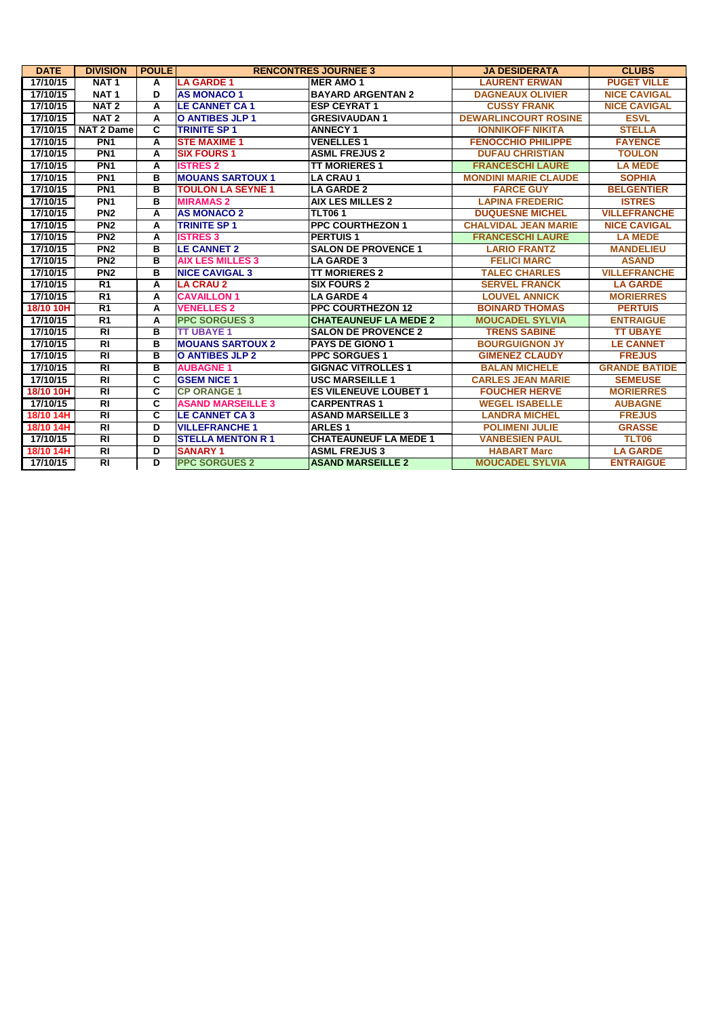| <b>DATE</b> | <b>DIVISION</b>  | <b>POULE</b>            | <b>RENCONTRES JOURNEE 3</b> |                              | <b>JA DESIDERATA</b>        | <b>CLUBS</b>         |
|-------------|------------------|-------------------------|-----------------------------|------------------------------|-----------------------------|----------------------|
| 17/10/15    | NAT <sub>1</sub> | A                       | <b>LA GARDE 1</b>           | <b>MER AMO 1</b>             | <b>LAURENT ERWAN</b>        | <b>PUGET VILLE</b>   |
| 17/10/15    | NAT <sub>1</sub> | D                       | <b>AS MONACO 1</b>          | <b>BAYARD ARGENTAN 2</b>     | <b>DAGNEAUX OLIVIER</b>     | <b>NICE CAVIGAL</b>  |
| 17/10/15    | NAT <sub>2</sub> | A                       | <b>LE CANNET CA 1</b>       | <b>ESP CEYRAT 1</b>          | <b>CUSSY FRANK</b>          | <b>NICE CAVIGAL</b>  |
| 17/10/15    | NAT <sub>2</sub> | А                       | O ANTIBES JLP 1             | <b>GRESIVAUDAN1</b>          | <b>DEWARLINCOURT ROSINE</b> | <b>ESVL</b>          |
| 17/10/15    | NAT 2 Dame       | C                       | <b>TRINITE SP 1</b>         | <b>ANNECY 1</b>              | <b>IONNIKOFF NIKITA</b>     | <b>STELLA</b>        |
| 17/10/15    | PN <sub>1</sub>  | A                       | <b>STE MAXIME 1</b>         | <b>VENELLES 1</b>            | <b>FENOCCHIO PHILIPPE</b>   | <b>FAYENCE</b>       |
| 17/10/15    | PN <sub>1</sub>  | А                       | <b>SIX FOURS 1</b>          | <b>ASML FREJUS 2</b>         | <b>DUFAU CHRISTIAN</b>      | <b>TOULON</b>        |
| 17/10/15    | PN <sub>1</sub>  | A                       | <b>ISTRES 2</b>             | <b>TT MORIERES 1</b>         | <b>FRANCESCHI LAURE</b>     | <b>LA MEDE</b>       |
| 17/10/15    | PN <sub>1</sub>  | в                       | <b>MOUANS SARTOUX 1</b>     | <b>LA CRAU1</b>              | <b>MONDINI MARIE CLAUDE</b> | <b>SOPHIA</b>        |
| 17/10/15    | PN <sub>1</sub>  | в                       | <b>TOULON LA SEYNE 1</b>    | <b>LA GARDE 2</b>            | <b>FARCE GUY</b>            | <b>BELGENTIER</b>    |
| 17/10/15    | PN <sub>1</sub>  | в                       | <b>MIRAMAS 2</b>            | <b>AIX LES MILLES 2</b>      | <b>LAPINA FREDERIC</b>      | <b>ISTRES</b>        |
| 17/10/15    | PN <sub>2</sub>  | А                       | <b>AS MONACO 2</b>          | <b>TLT061</b>                | <b>DUQUESNE MICHEL</b>      | <b>VILLEFRANCHE</b>  |
| 17/10/15    | PN <sub>2</sub>  | A                       | <b>TRINITE SP 1</b>         | <b>PPC COURTHEZON 1</b>      | <b>CHALVIDAL JEAN MARIE</b> | <b>NICE CAVIGAL</b>  |
| 17/10/15    | PN <sub>2</sub>  | A                       | <b>ISTRES 3</b>             | <b>PERTUIS1</b>              | <b>FRANCESCHI LAURE</b>     | <b>LA MEDE</b>       |
| 17/10/15    | PN <sub>2</sub>  | в                       | <b>LE CANNET 2</b>          | <b>SALON DE PROVENCE 1</b>   | <b>LARIO FRANTZ</b>         | <b>MANDELIEU</b>     |
| 17/10/15    | PN <sub>2</sub>  | в                       | <b>AIX LES MILLES 3</b>     | <b>LA GARDE 3</b>            | <b>FELICI MARC</b>          | <b>ASAND</b>         |
| 17/10/15    | PN2              | в                       | <b>NICE CAVIGAL 3</b>       | <b>TT MORIERES 2</b>         | <b>TALEC CHARLES</b>        | <b>VILLEFRANCHE</b>  |
| 17/10/15    | R1               | A                       | <b>LA CRAU 2</b>            | <b>SIX FOURS 2</b>           | <b>SERVEL FRANCK</b>        | <b>LA GARDE</b>      |
| 17/10/15    | R1               | A                       | <b>CAVAILLON 1</b>          | <b>LA GARDE 4</b>            | <b>LOUVEL ANNICK</b>        | <b>MORIERRES</b>     |
| 18/10 10H   | R <sub>1</sub>   | A                       | <b>VENELLES 2</b>           | <b>PPC COURTHEZON 12</b>     | <b>BOINARD THOMAS</b>       | <b>PERTUIS</b>       |
| 17/10/15    | R <sub>1</sub>   | А                       | <b>PPC SORGUES 3</b>        | <b>CHATEAUNEUF LA MEDE 2</b> | <b>MOUCADEL SYLVIA</b>      | <b>ENTRAIGUE</b>     |
| 17/10/15    | $\overline{RI}$  | в                       | <b>TT UBAYE 1</b>           | <b>SALON DE PROVENCE 2</b>   | <b>TRENS SABINE</b>         | <b>TT UBAYE</b>      |
| 17/10/15    | RI               | в                       | <b>MOUANS SARTOUX 2</b>     | <b>PAYS DE GIONO 1</b>       | <b>BOURGUIGNON JY</b>       | <b>LE CANNET</b>     |
| 17/10/15    | $\overline{R}$   | в                       | <b>O ANTIBES JLP 2</b>      | <b>PPC SORGUES 1</b>         | <b>GIMENEZ CLAUDY</b>       | <b>FREJUS</b>        |
| 17/10/15    | $\overline{RI}$  | в                       | <b>AUBAGNE1</b>             | <b>GIGNAC VITROLLES 1</b>    | <b>BALAN MICHELE</b>        | <b>GRANDE BATIDE</b> |
| 17/10/15    | $\overline{RI}$  | C                       | <b>GSEM NICE 1</b>          | <b>USC MARSEILLE 1</b>       | <b>CARLES JEAN MARIE</b>    | <b>SEMEUSE</b>       |
| 18/10 10H   | $\overline{RI}$  | C                       | <b>CP ORANGE 1</b>          | <b>ES VILENEUVE LOUBET 1</b> | <b>FOUCHER HERVE</b>        | <b>MORIERRES</b>     |
| 17/10/15    | $\overline{RI}$  | $\overline{\mathbf{c}}$ | <b>ASAND MARSEILLE 3</b>    | <b>CARPENTRAS1</b>           | <b>WEGEL ISABELLE</b>       | <b>AUBAGNE</b>       |
| 18/10 14H   | $\overline{RI}$  | C                       | <b>LE CANNET CA 3</b>       | <b>ASAND MARSEILLE 3</b>     | <b>LANDRA MICHEL</b>        | <b>FREJUS</b>        |
| 18/10 14H   | $\overline{RI}$  | D                       | <b>VILLEFRANCHE 1</b>       | <b>ARLES1</b>                | <b>POLIMENI JULIE</b>       | <b>GRASSE</b>        |
| 17/10/15    | $\overline{RI}$  | D                       | <b>STELLA MENTON R1</b>     | <b>CHATEAUNEUF LA MEDE 1</b> | <b>VANBESIEN PAUL</b>       | <b>TLT06</b>         |
| 18/10 14H   | $\overline{RI}$  | D                       | <b>SANARY 1</b>             | <b>ASML FREJUS 3</b>         | <b>HABART Marc</b>          | <b>LA GARDE</b>      |
| 17/10/15    | $\overline{RI}$  | D                       | <b>PPC SORGUES 2</b>        | <b>ASAND MARSEILLE 2</b>     | <b>MOUCADEL SYLVIA</b>      | <b>ENTRAIGUE</b>     |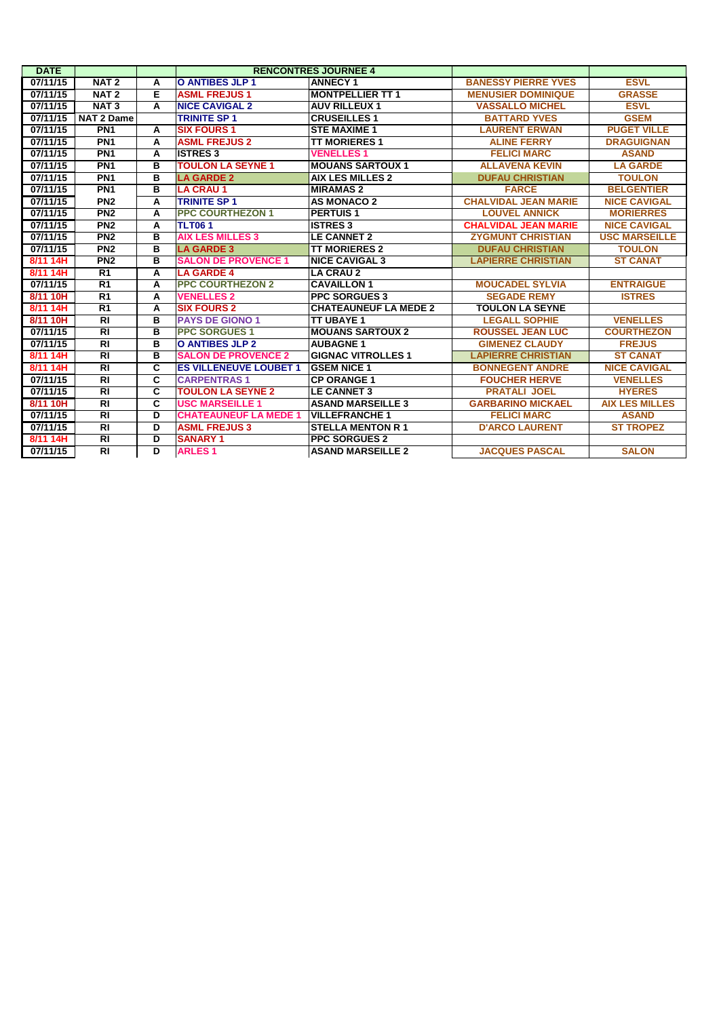| <b>DATE</b> |                   |   |                               | <b>RENCONTRES JOURNEE 4</b>  |                             |                       |
|-------------|-------------------|---|-------------------------------|------------------------------|-----------------------------|-----------------------|
| 07/11/15    | NAT <sub>2</sub>  | A | <b>O ANTIBES JLP 1</b>        | <b>ANNECY 1</b>              | <b>BANESSY PIERRE YVES</b>  | <b>ESVL</b>           |
| 07/11/15    | NAT <sub>2</sub>  | Е | <b>ASML FREJUS1</b>           | <b>MONTPELLIER TT 1</b>      | <b>MENUSIER DOMINIQUE</b>   | <b>GRASSE</b>         |
| 07/11/15    | NAT <sub>3</sub>  | A | <b>NICE CAVIGAL 2</b>         | <b>AUV RILLEUX 1</b>         | <b>VASSALLO MICHEL</b>      | <b>ESVL</b>           |
| 07/11/15    | <b>NAT 2 Dame</b> |   | <b>TRINITE SP 1</b>           | <b>CRUSEILLES 1</b>          | <b>BATTARD YVES</b>         | <b>GSEM</b>           |
| 07/11/15    | PN <sub>1</sub>   | A | <b>SIX FOURS 1</b>            | <b>STE MAXIME 1</b>          | <b>LAURENT ERWAN</b>        | <b>PUGET VILLE</b>    |
| 07/11/15    | PN <sub>1</sub>   | A | <b>ASML FREJUS 2</b>          | <b>TT MORIERES 1</b>         | <b>ALINE FERRY</b>          | <b>DRAGUIGNAN</b>     |
| 07/11/15    | PN <sub>1</sub>   | A | <b>ISTRES 3</b>               | <b>VENELLES1</b>             | <b>FELICI MARC</b>          | <b>ASAND</b>          |
| 07/11/15    | PN <sub>1</sub>   | в | <b>TOULON LA SEYNE 1</b>      | <b>MOUANS SARTOUX 1</b>      | <b>ALLAVENA KEVIN</b>       | <b>LA GARDE</b>       |
| 07/11/15    | PN <sub>1</sub>   | в | <b>LA GARDE 2</b>             | <b>AIX LES MILLES 2</b>      | <b>DUFAU CHRISTIAN</b>      | <b>TOULON</b>         |
| 07/11/15    | PN <sub>1</sub>   | в | <b>LA CRAU 1</b>              | <b>MIRAMAS 2</b>             | <b>FARCE</b>                | <b>BELGENTIER</b>     |
| 07/11/15    | PN <sub>2</sub>   | A | <b>TRINITE SP 1</b>           | <b>AS MONACO 2</b>           | <b>CHALVIDAL JEAN MARIE</b> | <b>NICE CAVIGAL</b>   |
| 07/11/15    | PN <sub>2</sub>   | A | <b>PPC COURTHEZON 1</b>       | <b>PERTUIS1</b>              | <b>LOUVEL ANNICK</b>        | <b>MORIERRES</b>      |
| 07/11/15    | PN <sub>2</sub>   | A | <b>TLT061</b>                 | <b>ISTRES 3</b>              | <b>CHALVIDAL JEAN MARIE</b> | <b>NICE CAVIGAL</b>   |
| 07/11/15    | PN <sub>2</sub>   | в | <b>AIX LES MILLES 3</b>       | <b>ILE CANNET 2</b>          | <b>ZYGMUNT CHRISTIAN</b>    | <b>USC MARSEILLE</b>  |
| 07/11/15    | PN <sub>2</sub>   | в | <b>LA GARDE 3</b>             | <b>TT MORIERES 2</b>         | <b>DUFAU CHRISTIAN</b>      | <b>TOULON</b>         |
| 8/11 14H    | PN2               | в | <b>SALON DE PROVENCE 1</b>    | <b>NICE CAVIGAL 3</b>        | <b>LAPIERRE CHRISTIAN</b>   | <b>ST CANAT</b>       |
| 8/11 14H    | R1                | A | <b>LA GARDE 4</b>             | <b>LA CRAU 2</b>             |                             |                       |
| 07/11/15    | R <sub>1</sub>    | A | <b>PPC COURTHEZON 2</b>       | <b>CAVAILLON1</b>            | <b>MOUCADEL SYLVIA</b>      | <b>ENTRAIGUE</b>      |
| 8/11 10H    | R1                | A | <b>VENELLES 2</b>             | <b>PPC SORGUES 3</b>         | <b>SEGADE REMY</b>          | <b>ISTRES</b>         |
| 8/11 14H    | R <sub>1</sub>    | A | <b>SIX FOURS 2</b>            | <b>CHATEAUNEUF LA MEDE 2</b> | <b>TOULON LA SEYNE</b>      |                       |
| 8/11 10H    | $\overline{R}$    | в | <b>PAYS DE GIONO 1</b>        | <b>TT UBAYE 1</b>            | <b>LEGALL SOPHIE</b>        | <b>VENELLES</b>       |
| 07/11/15    | $\overline{RI}$   | в | <b>PPC SORGUES 1</b>          | <b>MOUANS SARTOUX 2</b>      | <b>ROUSSEL JEAN LUC</b>     | <b>COURTHEZON</b>     |
| 07/11/15    | RI                | в | <b>O ANTIBES JLP 2</b>        | <b>AUBAGNE 1</b>             | <b>GIMENEZ CLAUDY</b>       | <b>FREJUS</b>         |
| 8/11 14H    | $\overline{RI}$   | в | <b>SALON DE PROVENCE 2</b>    | <b>IGIGNAC VITROLLES 1</b>   | <b>LAPIERRE CHRISTIAN</b>   | <b>ST CANAT</b>       |
| 8/11 14H    | $\overline{RI}$   | C | <b>ES VILLENEUVE LOUBET 1</b> | <b>GSEM NICE 1</b>           | <b>BONNEGENT ANDRE</b>      | <b>NICE CAVIGAL</b>   |
| 07/11/15    | $\overline{RI}$   | C | <b>CARPENTRAS1</b>            | <b>ICP ORANGE 1</b>          | <b>FOUCHER HERVE</b>        | <b>VENELLES</b>       |
| 07/11/15    | RI                | C | <b>TOULON LA SEYNE 2</b>      | <b>LE CANNET 3</b>           | <b>PRATALI JOEL</b>         | <b>HYERES</b>         |
| 8/11 10H    | $\overline{RI}$   | C | <b>USC MARSEILLE 1</b>        | <b>ASAND MARSEILLE 3</b>     | <b>GARBARINO MICKAEL</b>    | <b>AIX LES MILLES</b> |
| 07/11/15    | $\overline{RI}$   | D | <b>CHATEAUNEUF LA MEDE 1</b>  | <b>VILLEFRANCHE 1</b>        | <b>FELICI MARC</b>          | <b>ASAND</b>          |
| 07/11/15    | <b>RI</b>         | D | <b>ASML FREJUS 3</b>          | <b>ISTELLA MENTON R 1</b>    | <b>D'ARCO LAURENT</b>       | <b>ST TROPEZ</b>      |
| 8/11 14H    | $\overline{R}$    | D | <b>SANARY 1</b>               | <b>PPC SORGUES 2</b>         |                             |                       |
| 07/11/15    | RĪ                | D | <b>ARLES1</b>                 | <b>ASAND MARSEILLE 2</b>     | <b>JACQUES PASCAL</b>       | <b>SALON</b>          |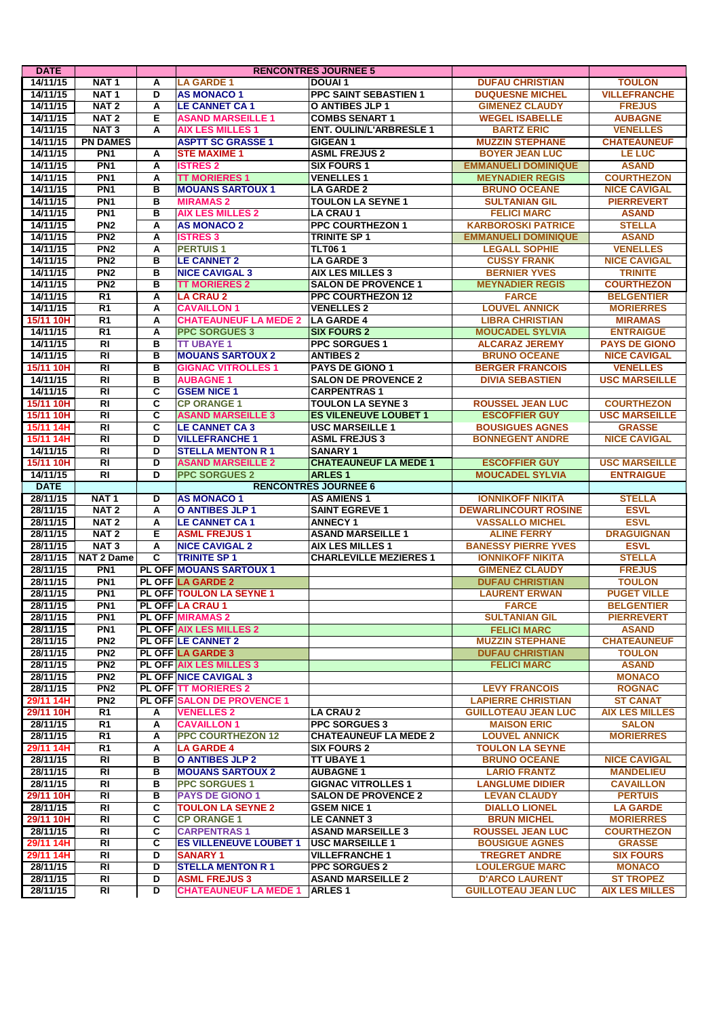| <b>DATE</b> |                             |        |                                                      | <b>RENCONTRES JOURNEE 5</b>                |                                               |                                        |
|-------------|-----------------------------|--------|------------------------------------------------------|--------------------------------------------|-----------------------------------------------|----------------------------------------|
| 14/11/15    | NAT <sub>1</sub>            | A      | <b>LA GARDE 1</b>                                    | <b>DOUAI1</b>                              | <b>DUFAU CHRISTIAN</b>                        | <b>TOULON</b>                          |
| 14/11/15    | NAT <sub>1</sub>            | D      | <b>AS MONACO 1</b>                                   | <b>PPC SAINT SEBASTIEN 1</b>               | <b>DUQUESNE MICHEL</b>                        | <b>VILLEFRANCHE</b>                    |
| 14/11/15    | NAT <sub>2</sub>            | A      | <b>LE CANNET CA1</b>                                 | O ANTIBES JLP 1                            | <b>GIMENEZ CLAUDY</b>                         | <b>FREJUS</b>                          |
| 14/11/15    | NAT <sub>2</sub>            | Е      | <b>ASAND MARSEILLE 1</b>                             | <b>COMBS SENART 1</b>                      | <b>WEGEL ISABELLE</b>                         | <b>AUBAGNE</b>                         |
| 14/11/15    | NAT <sub>3</sub>            | А      | <b>AIX LES MILLES 1</b>                              | <b>ENT. OULIN/L'ARBRESLE 1</b>             | <b>BARTZ ERIC</b>                             | <b>VENELLES</b>                        |
| 14/11/15    | <b>PN DAMES</b>             |        | <b>ASPTT SC GRASSE 1</b>                             | <b>GIGEAN 1</b>                            | <b>MUZZIN STEPHANE</b>                        | <b>CHATEAUNEUF</b>                     |
| 14/11/15    | PN <sub>1</sub>             | Α      | <b>STE MAXIME 1</b>                                  | <b>ASML FREJUS 2</b>                       | <b>BOYER JEAN LUC</b>                         | <b>LE LUC</b>                          |
| 14/11/15    | PN <sub>1</sub>             | Α      | <b>ISTRES 2</b>                                      | <b>SIX FOURS 1</b>                         | <b>EMMANUELI DOMINIQUE</b>                    | <b>ASAND</b>                           |
| 14/11/15    | PN <sub>1</sub>             | A      | <b>TT MORIERES 1</b>                                 | <b>VENELLES 1</b>                          | <b>MEYNADIER REGIS</b>                        | <b>COURTHEZON</b>                      |
| 14/11/15    | PN <sub>1</sub>             | в      | <b>MOUANS SARTOUX 1</b>                              | <b>LA GARDE 2</b>                          | <b>BRUNO OCEANE</b>                           | <b>NICE CAVIGAL</b>                    |
| 14/11/15    | PN <sub>1</sub>             | в      | <b>MIRAMAS 2</b>                                     | <b>TOULON LA SEYNE 1</b>                   | <b>SULTANIAN GIL</b>                          | <b>PIERREVERT</b>                      |
| 14/11/15    | PN <sub>1</sub>             | в      | <b>AIX LES MILLES 2</b>                              | <b>LA CRAU 1</b>                           | <b>FELICI MARC</b>                            | <b>ASAND</b>                           |
| 14/11/15    | PN <sub>2</sub>             | Α      | <b>AS MONACO 2</b>                                   | <b>PPC COURTHEZON 1</b>                    | <b>KARBOROSKI PATRICE</b>                     | <b>STELLA</b>                          |
| 14/11/15    | PN2                         | A      | <b>ISTRES 3</b>                                      | <b>TRINITE SP1</b>                         | <b>EMMANUELI DOMINIQUE</b>                    | <b>ASAND</b>                           |
| 14/11/15    | PN <sub>2</sub>             | A      | <b>PERTUIS1</b>                                      | <b>TLT061</b>                              | <b>LEGALL SOPHIE</b>                          | <b>VENELLES</b>                        |
| 14/11/15    | PN2                         | в      | <b>LE CANNET 2</b>                                   | <b>LA GARDE 3</b>                          | <b>CUSSY FRANK</b>                            | <b>NICE CAVIGAL</b>                    |
| 14/11/15    | PN <sub>2</sub>             | в      | <b>NICE CAVIGAL 3</b>                                | <b>AIX LES MILLES 3</b>                    | <b>BERNIER YVES</b>                           | <b>TRINITE</b>                         |
| 14/11/15    | PN2                         | в      | <b>TT MORIERES 2</b>                                 | <b>SALON DE PROVENCE 1</b>                 | <b>MEYNADIER REGIS</b>                        | <b>COURTHEZON</b>                      |
| 14/11/15    | R1                          | Α      | <b>LA CRAU 2</b>                                     | <b>PPC COURTHEZON 12</b>                   | <b>FARCE</b>                                  | <b>BELGENTIER</b>                      |
| 14/11/15    | $\overline{R1}$             | A      | <b>CAVAILLON 1</b>                                   | <b>VENELLES 2</b>                          | <b>LOUVEL ANNICK</b>                          | <b>MORIERRES</b>                       |
| 15/11 10H   | $\overline{R1}$             | A      | <b>CHATEAUNEUF LA MEDE 2</b>                         | <b>LA GARDE 4</b>                          | <b>LIBRA CHRISTIAN</b>                        | <b>MIRAMAS</b>                         |
| 14/11/15    | R <sub>1</sub>              | Α      | <b>PPC SORGUES 3</b>                                 | <b>SIX FOURS 2</b>                         | <b>MOUCADEL SYLVIA</b>                        | <b>ENTRAIGUE</b>                       |
| 14/11/15    | RI                          | в      | <b>TT UBAYE 1</b>                                    | <b>PPC SORGUES 1</b>                       | <b>ALCARAZ JEREMY</b>                         |                                        |
|             |                             |        |                                                      |                                            |                                               | <b>PAYS DE GIONO</b>                   |
| 14/11/15    | <b>RI</b><br>$\overline{R}$ | в<br>в | <b>MOUANS SARTOUX 2</b><br><b>GIGNAC VITROLLES 1</b> | <b>ANTIBES 2</b><br><b>PAYS DE GIONO 1</b> | <b>BRUNO OCEANE</b><br><b>BERGER FRANCOIS</b> | <b>NICE CAVIGAL</b><br><b>VENELLES</b> |
| 15/11 10H   |                             |        |                                                      |                                            |                                               | <b>USC MARSEILLE</b>                   |
| 14/11/15    | $\overline{R}$              | в      | <b>AUBAGNE 1</b>                                     | <b>SALON DE PROVENCE 2</b>                 | <b>DIVIA SEBASTIEN</b>                        |                                        |
| 14/11/15    | RI                          | C      | <b>GSEM NICE 1</b>                                   | <b>CARPENTRAS1</b>                         |                                               |                                        |
| 15/11 10H   | $\overline{R}$              | C      | <b>CP ORANGE 1</b>                                   | <b>TOULON LA SEYNE 3</b>                   | <b>ROUSSEL JEAN LUC</b>                       | <b>COURTHEZON</b>                      |
| 15/11 10H   | $\overline{R}$              | C      | <b>ASAND MARSEILLE 3</b>                             | <b>ES VILENEUVE LOUBET 1</b>               | <b>ESCOFFIER GUY</b>                          | <b>USC MARSEILLE</b>                   |
| 15/11 14H   | $\overline{R}$              | C      | <b>LE CANNET CA 3</b>                                | <b>USC MARSEILLE 1</b>                     | <b>BOUSIGUES AGNES</b>                        | <b>GRASSE</b>                          |
| 15/11 14H   | RI                          | D      | <b>VILLEFRANCHE 1</b>                                | <b>ASML FREJUS 3</b>                       | <b>BONNEGENT ANDRE</b>                        | <b>NICE CAVIGAL</b>                    |
| 14/11/15    | RI                          | D      | <b>STELLA MENTON R 1</b>                             | <b>SANARY 1</b>                            |                                               |                                        |
| 15/11 10H   | $\overline{R}$              | D      | <b>ASAND MARSEILLE 2</b>                             | <b>CHATEAUNEUF LA MEDE 1</b>               | <b>ESCOFFIER GUY</b>                          | <b>USC MARSEILLE</b>                   |
| 14/11/15    | <b>RI</b>                   | D      | <b>PPC SORGUES 2</b>                                 | <b>ARLES1</b>                              | <b>MOUCADEL SYLVIA</b>                        | <b>ENTRAIGUE</b>                       |
|             |                             |        |                                                      |                                            |                                               |                                        |
| <b>DATE</b> |                             |        |                                                      | <b>RENCONTRES JOURNEE 6</b>                |                                               |                                        |
| 28/11/15    | NAT <sub>1</sub>            | D      | <b>AS MONACO 1</b>                                   | <b>AS AMIENS 1</b>                         | <b>IONNIKOFF NIKITA</b>                       | <b>STELLA</b>                          |
| 28/11/15    | NAT <sub>2</sub>            | A      | <b>O ANTIBES JLP 1</b>                               | <b>SAINT EGREVE 1</b>                      | <b>DEWARLINCOURT ROSINE</b>                   | <b>ESVL</b>                            |
| 28/11/15    | NAT <sub>2</sub>            | Α      | <b>LE CANNET CA1</b>                                 | <b>ANNECY 1</b>                            | <b>VASSALLO MICHEL</b>                        | <b>ESVL</b>                            |
| 28/11/15    | NAT <sub>2</sub>            | E      | <b>ASML FREJUS1</b>                                  | <b>ASAND MARSEILLE 1</b>                   | <b>ALINE FERRY</b>                            | <b>DRAGUIGNAN</b>                      |
| 28/11/15    | NAT <sub>3</sub>            | A      | <b>NICE CAVIGAL 2</b>                                | <b>AIX LES MILLES 1</b>                    | <b>BANESSY PIERRE YVES</b>                    | <b>ESVL</b>                            |
| 28/11/15    | NAT 2 Dame                  | C      | <b>TRINITE SP 1</b>                                  | <b>CHARLEVILLE MEZIERES 1</b>              | <b>IONNIKOFF NIKITA</b>                       | <b>STELLA</b>                          |
| 28/11/15    | PN <sub>1</sub>             |        | <b>PL OFF MOUANS SARTOUX 1</b>                       |                                            | <b>GIMENEZ CLAUDY</b>                         | <b>FREJUS</b>                          |
| 28/11/15    | PN <sub>1</sub>             |        | <b>PL OFF LA GARDE 2</b>                             |                                            | <b>DUFAU CHRISTIAN</b>                        | <b>TOULON</b>                          |
| 28/11/15    | PN <sub>1</sub>             |        | <b>PL OFF TOULON LA SEYNE 1</b>                      |                                            | <b>LAURENT ERWAN</b>                          | <b>PUGET VILLE</b>                     |
| 28/11/15    | PN <sub>1</sub>             |        | PL OFF LA CRAU 1                                     |                                            | <b>FARCE</b>                                  | <b>BELGENTIER</b>                      |
| 28/11/15    | PN <sub>1</sub>             |        | <b>PL OFF MIRAMAS 2</b>                              |                                            | <b>SULTANIAN GIL</b>                          | <b>PIERREVERT</b>                      |
| 28/11/15    | PN <sub>1</sub>             |        | <b>PL OFF AIX LES MILLES 2</b>                       |                                            | <b>FELICI MARC</b>                            | <b>ASAND</b>                           |
| 28/11/15    | PN <sub>2</sub>             |        | <b>PL OFF LE CANNET 2</b>                            |                                            | <b>MUZZIN STEPHANE</b>                        | <b>CHATEAUNEUF</b>                     |
| 28/11/15    | PN <sub>2</sub>             |        | <b>PL OFF LA GARDE 3</b>                             |                                            | <b>DUFAU CHRISTIAN</b>                        | <b>TOULON</b>                          |
| 28/11/15    | PN2                         |        | PL OFF AIX LES MILLES 3                              |                                            | <b>FELICI MARC</b>                            | <b>ASAND</b>                           |
| 28/11/15    | PN <sub>2</sub>             |        | <b>PL OFF NICE CAVIGAL 3</b>                         |                                            |                                               | <b>MONACO</b>                          |
| 28/11/15    | PN <sub>2</sub>             |        | <b>PL OFF TT MORIERES 2</b>                          |                                            | <b>LEVY FRANCOIS</b>                          | <b>ROGNAC</b>                          |
| 29/11 14H   | PN2                         |        | <b>PL OFF SALON DE PROVENCE 1</b>                    |                                            | <b>LAPIERRE CHRISTIAN</b>                     | <b>ST CANAT</b>                        |
| 29/11 10H   | R1                          | А      | <b>VENELLES 2</b>                                    | <b>LA CRAU 2</b>                           | <b>GUILLOTEAU JEAN LUC</b>                    | <b>AIX LES MILLES</b>                  |
| 28/11/15    | R <sub>1</sub>              | A      | <b>CAVAILLON 1</b>                                   | <b>PPC SORGUES 3</b>                       | <b>MAISON ERIC</b>                            | <b>SALON</b>                           |
| 28/11/15    | R1                          | А      | <b>PPC COURTHEZON 12</b>                             | <b>CHATEAUNEUF LA MEDE 2</b>               | <b>LOUVEL ANNICK</b>                          | <b>MORIERRES</b>                       |
| 29/11 14H   | R1                          | А      | <b>LA GARDE 4</b>                                    | <b>SIX FOURS 2</b>                         | <b>TOULON LA SEYNE</b>                        |                                        |
| 28/11/15    | RI                          | в      | <b>O ANTIBES JLP 2</b>                               | TT UBAYE 1                                 | <b>BRUNO OCEANE</b>                           | <b>NICE CAVIGAL</b>                    |
| 28/11/15    | RI                          | в      | <b>MOUANS SARTOUX 2</b>                              | <b>AUBAGNE 1</b>                           | <b>LARIO FRANTZ</b>                           | <b>MANDELIEU</b>                       |
| 28/11/15    | RI                          | в      | <b>PPC SORGUES 1</b>                                 | <b>GIGNAC VITROLLES 1</b>                  | <b>LANGLUME DIDIER</b>                        | <b>CAVAILLON</b>                       |
| 29/11 10H   | RI                          | в      | <b>PAYS DE GIONO 1</b>                               | <b>SALON DE PROVENCE 2</b>                 | <b>LEVAN CLAUDY</b>                           | <b>PERTUIS</b>                         |
| 28/11/15    | RI                          | С      | <b>TOULON LA SEYNE 2</b>                             | <b>GSEM NICE 1</b>                         | <b>DIALLO LIONEL</b>                          | <b>LA GARDE</b>                        |
| 29/11 10H   | RI                          | С      | <b>CP ORANGE 1</b>                                   | <b>LE CANNET 3</b>                         | <b>BRUN MICHEL</b>                            | <b>MORIERRES</b>                       |
| 28/11/15    | RI                          | c      | <b>CARPENTRAS1</b>                                   | <b>ASAND MARSEILLE 3</b>                   | <b>ROUSSEL JEAN LUC</b>                       | <b>COURTHEZON</b>                      |
| 29/11 14H   | RI                          | C      | <b>ES VILLENEUVE LOUBET 1</b>                        | <b>USC MARSEILLE 1</b>                     | <b>BOUSIGUE AGNES</b>                         | <b>GRASSE</b>                          |
| 29/11 14H   | RI                          | D      | <b>SANARY 1</b>                                      | <b>VILLEFRANCHE 1</b>                      | <b>TREGRET ANDRE</b>                          | <b>SIX FOURS</b>                       |
| 28/11/15    | RI                          | D      | <b>STELLA MENTON R 1</b>                             | <b>PPC SORGUES 2</b>                       | <b>LOULERGUE MARC</b>                         | <b>MONACO</b>                          |
| 28/11/15    | RI                          | D      | <b>ASML FREJUS 3</b>                                 | <b>ASAND MARSEILLE 2</b>                   | <b>D'ARCO LAURENT</b>                         | <b>ST TROPEZ</b>                       |